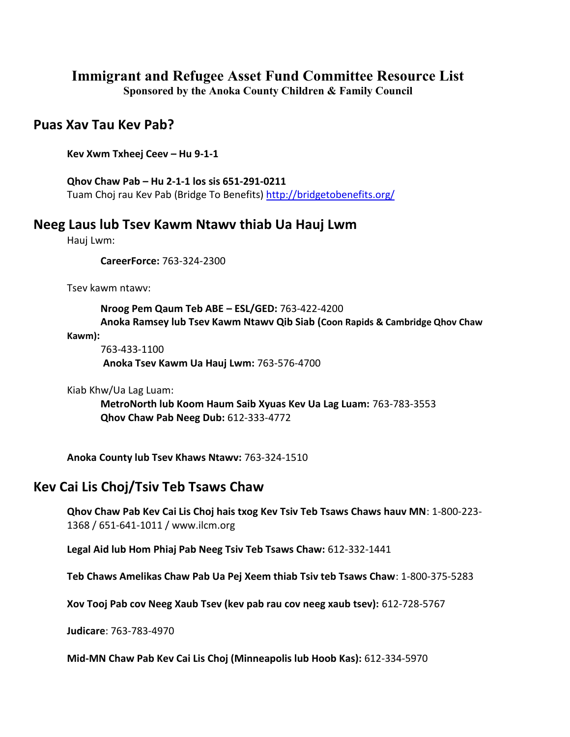# **Immigrant and Refugee Asset Fund Committee Resource List**

**Sponsored by the Anoka County Children & Family Council**

#### **Puas Xav Tau Kev Pab?**

**Kev Xwm Txheej Ceev – Hu 9-1-1** 

**Qhov Chaw Pab – Hu 2-1-1 los sis 651-291-0211** Tuam Choj rau Kev Pab (Bridge To Benefits)<http://bridgetobenefits.org/>

#### **Neeg Laus lub Tsev Kawm Ntawv thiab Ua Hauj Lwm**

Hauj Lwm:

**CareerForce:** 763-324-2300

Tsev kawm ntawv:

**Nroog Pem Qaum Teb ABE – ESL/GED:** 763-422-4200 **Anoka Ramsey lub Tsev Kawm Ntawv Qib Siab (Coon Rapids & Cambridge Qhov Chaw** 

**Kawm):**

763-433-1100 **Anoka Tsev Kawm Ua Hauj Lwm:** 763-576-4700

Kiab Khw/Ua Lag Luam:

**MetroNorth lub Koom Haum Saib Xyuas Kev Ua Lag Luam:** 763-783-3553 **Qhov Chaw Pab Neeg Dub:** 612-333-4772

**Anoka County lub Tsev Khaws Ntawv:** 763-324-1510

## **Kev Cai Lis Choj/Tsiv Teb Tsaws Chaw**

**Qhov Chaw Pab Kev Cai Lis Choj hais txog Kev Tsiv Teb Tsaws Chaws hauv MN**: 1-800-223- 1368 / 651-641-1011 / www.ilcm.org

**Legal Aid lub Hom Phiaj Pab Neeg Tsiv Teb Tsaws Chaw:** 612-332-1441

**Teb Chaws Amelikas Chaw Pab Ua Pej Xeem thiab Tsiv teb Tsaws Chaw**: 1-800-375-5283

**Xov Tooj Pab cov Neeg Xaub Tsev (kev pab rau cov neeg xaub tsev):** 612-728-5767

**Judicare**: 763-783-4970

**Mid-MN Chaw Pab Kev Cai Lis Choj (Minneapolis lub Hoob Kas):** 612-334-5970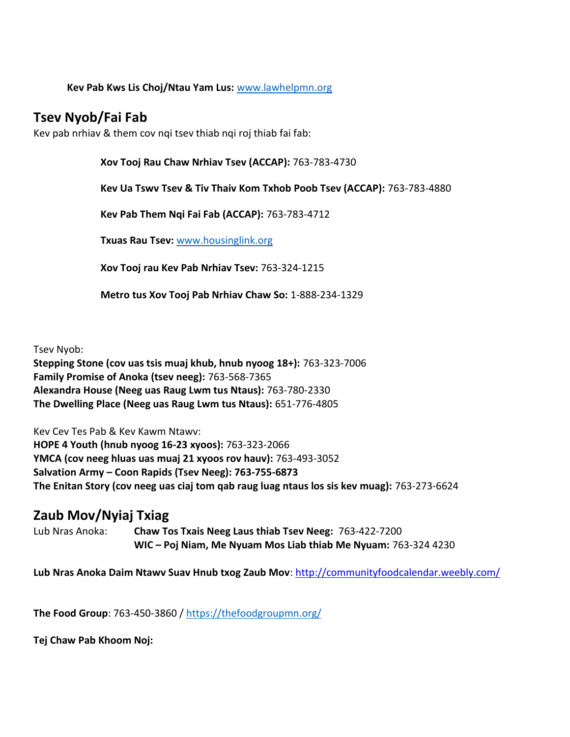#### **Kev Pab Kws Lis Choj/Ntau Yam Lus:** [www.lawhelpmn.org](http://www.lawhelpmn.org/)

## **Tsev Nyob/Fai Fab**

Kev pab nrhiav & them cov nqi tsev thiab nqi roj thiab fai fab:

**Xov Tooj Rau Chaw Nrhiav Tsev (ACCAP):** 763-783-4730

**Kev Ua Tswv Tsev & Tiv Thaiv Kom Txhob Poob Tsev (ACCAP):** 763-783-4880

**Kev Pab Them Nqi Fai Fab (ACCAP):** 763-783-4712

**Txuas Rau Tsev:** [www.housinglink.org](http://www.housinglink.org/)

**Xov Tooj rau Kev Pab Nrhiav Tsev:** 763-324-1215

**Metro tus Xov Tooj Pab Nrhiav Chaw So:** 1-888-234-1329

Tsev Nyob:

**Stepping Stone (cov uas tsis muaj khub, hnub nyoog 18+):** 763-323-7006 **Family Promise of Anoka (tsev neeg):** 763-568-7365 **Alexandra House (Neeg uas Raug Lwm tus Ntaus):** 763-780-2330 **The Dwelling Place (Neeg uas Raug Lwm tus Ntaus):** 651-776-4805

Kev Cev Tes Pab & Kev Kawm Ntawv: **HOPE 4 Youth (hnub nyoog 16-23 xyoos):** 763-323-2066 **YMCA (cov neeg hluas uas muaj 21 xyoos rov hauv):** 763-493-3052 **Salvation Army – Coon Rapids (Tsev Neeg): 763-755-6873 The Enitan Story (cov neeg uas ciaj tom qab raug luag ntaus los sis kev muag):** 763-273-6624

## **Zaub Mov/Nyiaj Txiag**

Lub Nras Anoka: **Chaw Tos Txais Neeg Laus thiab Tsev Neeg:** 763-422-7200 **WIC – Poj Niam, Me Nyuam Mos Liab thiab Me Nyuam:** 763-324 4230

Lub Nras Anoka Daim Ntawv Suav Hnub txog Zaub Mov: <http://communityfoodcalendar.weebly.com/>

**The Food Group**: 763-450-3860 /<https://thefoodgroupmn.org/>

**Tej Chaw Pab Khoom Noj:**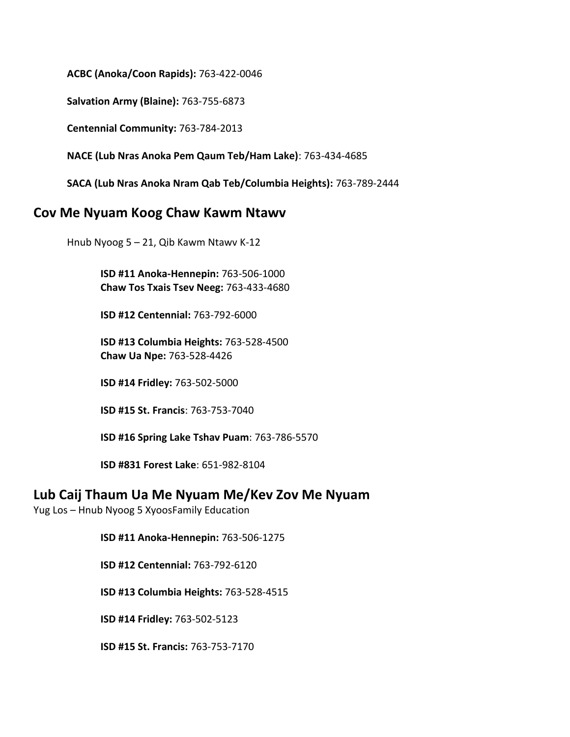**ACBC (Anoka/Coon Rapids):** 763-422-0046

**Salvation Army (Blaine):** 763-755-6873

**Centennial Community:** 763-784-2013

**NACE (Lub Nras Anoka Pem Qaum Teb/Ham Lake)**: 763-434-4685

**SACA (Lub Nras Anoka Nram Qab Teb/Columbia Heights):** 763-789-2444

#### **Cov Me Nyuam Koog Chaw Kawm Ntawv**

Hnub Nyoog 5 – 21, Qib Kawm Ntawv K-12

**ISD #11 Anoka-Hennepin:** 763-506-1000 **Chaw Tos Txais Tsev Neeg:** 763-433-4680

**ISD #12 Centennial:** 763-792-6000

**ISD #13 Columbia Heights:** 763-528-4500 **Chaw Ua Npe:** 763-528-4426

**ISD #14 Fridley:** 763-502-5000

**ISD #15 St. Francis**: 763-753-7040

**ISD #16 Spring Lake Tshav Puam**: 763-786-5570

**ISD #831 Forest Lake**: 651-982-8104

#### **Lub Caij Thaum Ua Me Nyuam Me/Kev Zov Me Nyuam**

Yug Los – Hnub Nyoog 5 XyoosFamily Education

**ISD #11 Anoka-Hennepin:** 763-506-1275

**ISD #12 Centennial:** 763-792-6120

**ISD #13 Columbia Heights:** 763-528-4515

**ISD #14 Fridley:** 763-502-5123

**ISD #15 St. Francis:** 763-753-7170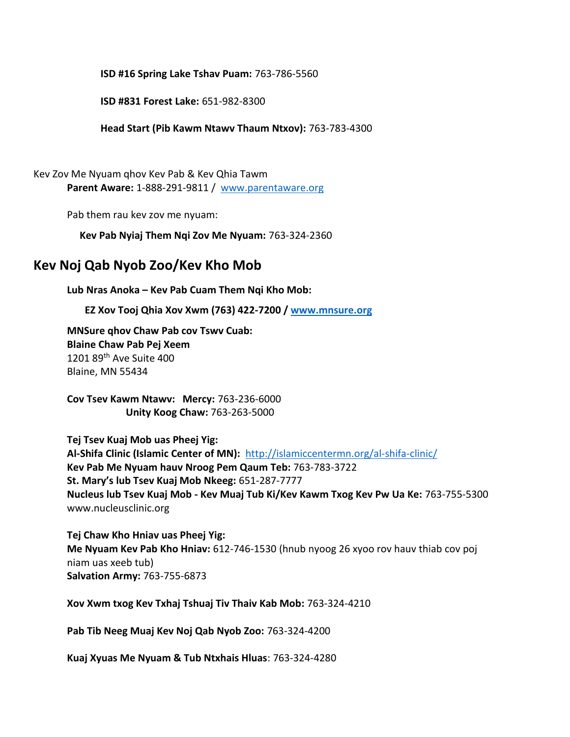**ISD #16 Spring Lake Tshav Puam:** 763-786-5560

**ISD #831 Forest Lake:** 651-982-8300

**Head Start (Pib Kawm Ntawv Thaum Ntxov):** 763-783-4300

Kev Zov Me Nyuam qhov Kev Pab & Kev Qhia Tawm **Parent Aware:** 1-888-291-9811 / www.parentaware.org

Pab them rau kev zov me nyuam:

**Kev Pab Nyiaj Them Nqi Zov Me Nyuam:** 763-324-2360

#### **Kev Noj Qab Nyob Zoo/Kev Kho Mob**

**Lub Nras Anoka – Kev Pab Cuam Them Nqi Kho Mob:**

**EZ Xov Tooj Qhia Xov Xwm (763) 422-7200 / [www.mnsure.org](http://www.mnsure.org/)**

**MNSure qhov Chaw Pab cov Tswv Cuab: Blaine Chaw Pab Pej Xeem** 1201 89th Ave Suite 400 Blaine, MN 55434

**Cov Tsev Kawm Ntawv: Mercy:** 763-236-6000  **Unity Koog Chaw:** 763-263-5000

**Tej Tsev Kuaj Mob uas Pheej Yig: Al-Shifa Clinic (Islamic Center of MN):** <http://islamiccentermn.org/al-shifa-clinic/> **Kev Pab Me Nyuam hauv Nroog Pem Qaum Teb:** 763-783-3722 **St. Mary's lub Tsev Kuaj Mob Nkeeg:** 651-287-7777 **Nucleus lub Tsev Kuaj Mob - Kev Muaj Tub Ki/Kev Kawm Txog Kev Pw Ua Ke:** 763-755-5300 www.nucleusclinic.org

**Tej Chaw Kho Hniav uas Pheej Yig: Me Nyuam Kev Pab Kho Hniav:** 612-746-1530 (hnub nyoog 26 xyoo rov hauv thiab cov poj niam uas xeeb tub) **Salvation Army:** 763-755-6873

**Xov Xwm txog Kev Txhaj Tshuaj Tiv Thaiv Kab Mob:** 763-324-4210

**Pab Tib Neeg Muaj Kev Noj Qab Nyob Zoo:** 763-324-4200

**Kuaj Xyuas Me Nyuam & Tub Ntxhais Hluas**: 763-324-4280